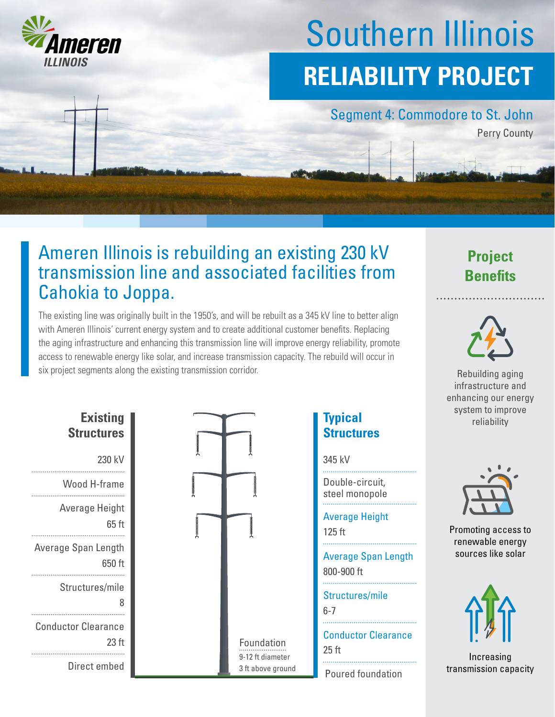

# Southern Illinois **RELIABILITY PROJECT**

#### Segment 4: Commodore to St. John

Perry County

# Ameren Illinois is rebuilding an existing 230 kV transmission line and associated facilities from Cahokia to Joppa.

The existing line was originally built in the 1950's, and will be rebuilt as a 345 kV line to better align with Ameren Illinois' current energy system and to create additional customer benefits. Replacing the aging infrastructure and enhancing this transmission line will improve energy reliability, promote access to renewable energy like solar, and increase transmission capacity. The rebuild will occur in six project segments along the existing transmission corridor.

| <b>Existing</b><br><b>Structures</b>           |
|------------------------------------------------|
| 230 kV                                         |
| Wood H-frame                                   |
| Average Height<br>65 ft                        |
| Average Span Length<br>650 ft                  |
| Structures/mile<br>8                           |
| <b>Conductor Clearance</b><br>23 <sub>ft</sub> |
| Direct embed                                   |



### **Typical Structures**

345 kV

Double-circuit, steel monopole

125 ft Average Height

800-900 ft Average Span Length

Structures/mile

6-7

25 ft Conductor Clearance Foundation

Poured foundation

## **Project Benefits**



Rebuilding aging infrastructure and enhancing our energy system to improve reliability



Promoting access to renewable energy sources like solar



Increasing transmission capacity